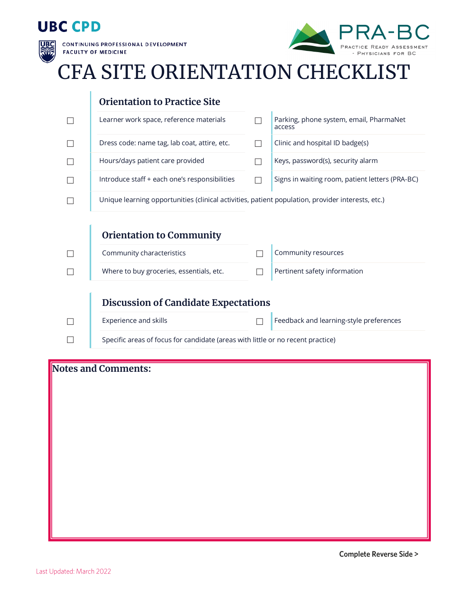## **UBC CPD**



**CONTINUING PROFESSIONAL DEVELOPMENT FACULTY OF MEDICINE** 



## CFA SITE ORIENTATION CHECKLIST



## **Notes and Comments:**